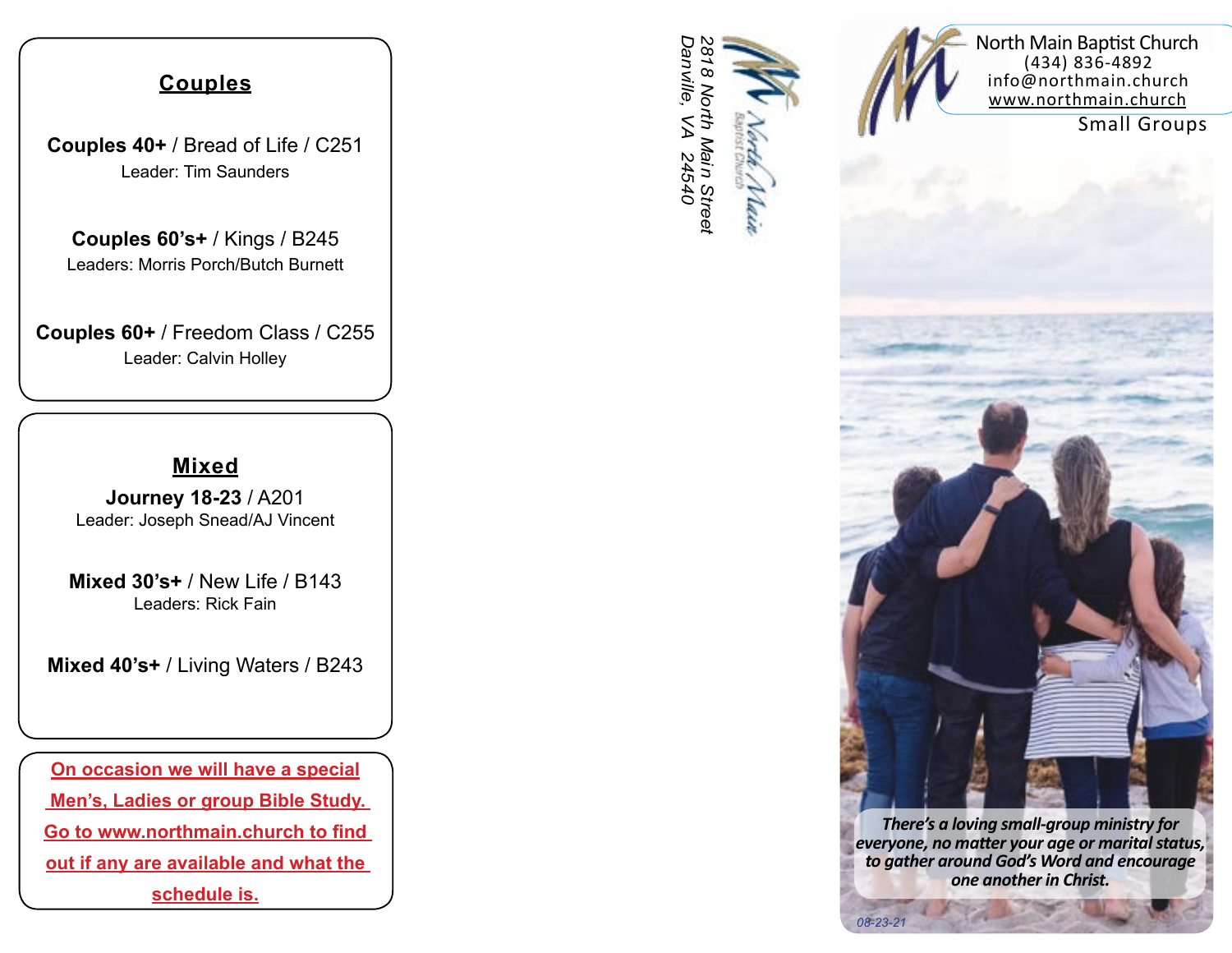#### **Couples**

**Couples 40+** / Bread of Life / C251 Leader: Tim Saunders

**Couples 60's+** / Kings / B245 Leaders: Morris Porch/Butch Burnett

**Couples 60+** / Freedom Class / C255 Leader: Calvin Holley

#### **Mixed**

**Journey 18-23** / A201 Leader: Joseph Snead/AJ Vincent

**Mixed 30's+** / New Life / B143 Leaders: Rick Fain

**Mixed 40's+** / Living Waters / B243

**On occasion we will have a special Men's, Ladies or group Bible Study. Go to www.northmain.church to find out if any are available and what the schedule is.**





Small Groups

*There's a loving small-group ministry for everyone, no matter your age or marital status, to gather around God's Word and encourage one another in Christ.*

*08-23-21*